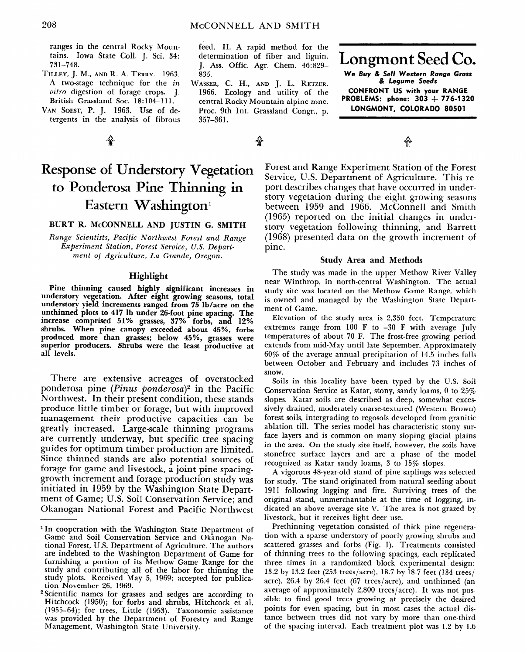# **Response of Understory Vegetation to Ponderosa Pine Thinning in**  Eastern Washington<sup>1</sup>

### **BURT R. MCCONNELL AND JUSTIN G. SMITH**

*Range Scientists, Pacific Northwest Forest and Range Experiment Station, Forest Seroice, U.S. Department* **of** *Agriculture, La Grande, Oregon.* 

#### **Highlight**

**Pine thinning caused highly significant increases in understory vegetation. After eight growing seasons, total understory yield increments ranged from 75 lb/acre on the unthinned plots to 417 lb under 26-foot pine spacing. The increase comprised 51% grasses, 37% forbs, and 12% shrubs. When pine canopy exceeded about 45%, forbs produced more than grasses; below 45%, grasses were superior producers. Shrubs were the least productive at all levels.** 

There are extensive acreages of overstocked ponderosa pine (Pinus ponderosa)<sup>2</sup> in the Pacific Northwest. In their present condition, these stands produce little timber or forage, but with improved management their productive capacities can be greatly increased. Large-scale thinning programs are currently underway, but specific tree spacing guides for optimum timber production are limited. Since thinned stands are also potential sources of for game and livestock and spacingrorage for game and fivestock, a joint pine spacinggrowth increment and forage production study was initiated in 1959 by the Washington State Depart-<br>ment of Game; U.S. Soil Conservation Service; and Okanogan National Forest and Pacific Northwest

Forest and Range Experiment Station of the Forest Service, U.S. Department of Agriculture. This report describes changes that have occurred in understory vegetation during the eight growing seasons between 1959 and 1966. McConnell and Smith (1965) reported on the initial changes in understory vegetation following thinning, and Barrett (1968) presented data on the growth increment of pine.

#### **Study Area and Methods**

The study was made in the upper Methow River Valley near Winthrop, in north-central Washington. The actual study site was located on the Methow Game Range, which is owned and managed by the Washington State Department of Game.

Elevation of the study area is 2,350 feet. Temperature extremes range from  $100 \text{ F}$  to  $-30 \text{ F}$  with average July temperatures of about 70 F. The frost-free growing period extends from mid-May until late September. Approximately 60% of the average annual precipitation of 14.5 inches falls between October and February and includes 73 inches of snow.

Soils in this locality have been typed by the U.S. Soil Conservation Service as Katar, stony, sandy loams, 0 to 25% slopes. Katar soils are described as deep, somewhat excessively drained, moderately coarse-textured (Western Brown) forest soils, intergrading to regosols developed from granitic ablest some, menghaning to regovers developed from gramme  $f \sim 1$  , and  $f \sim 1$  , and  $f \sim 1$  , and  $f \sim 1$  , and  $f \sim 1$ ince in the studies common on many stoping gracial plans.  $\frac{1}{2}$  stock of the state surface resemption are a phase of the model of the model of the model of the model of the model of the model of the model of the model of the model of the model of the model of the model of th reconcirce sander as fund and a phase of the  $\omega_{\text{g}}$ ine as isatat sandy toans, o to 10/0 stopes.

A vigorous 48-year-old stand of pine saplings was selected for study. The stand originated from natural seeding about 1911 following logging and fire. Surviving trees of the original stand, unmerchantable at the time of logging, indicated an above average site V. The area is not grazed by livestock, but it receives light deer use.

Prethinning vegetation consisted of thick pine regeneration with a sparse understory of poorly growing shrubs and scattered grasses and forbs (Fig. 1). Treatments consisted of thinning trees to the following spacings, each replicated three times in a randomized block experimental design: 13.2 by 13.2 feet (253 trees/acre), 18.7 by 18.7 feet (134 trees/ acre), 26.4 by 26.4 feet (67 trees/acre), and unthinned (an average of approximately  $2,800$  trees/acre). It was not possible to find good trees growing at precisely the desired points for even spacing, but in most cases the actual distance between trees did not vary by more than one-third of the spacing interval. Each treatment plot was 1.2 by 1.6

l In cooperation with the Washington State Department of In cooperation with the washington state Department of Game and Soil Conservation Service and Okanogan National Forest, U.S. Department of Agriculture. The authors are indebted to the Washington Department of Game for furnishing a portion of its Methow Game Range for the study and contributing all of the labor for thinning the study plots. Received May 5, 1969; accepted for publication November 26, 1969.

<sup>&</sup>lt;sup>2</sup> Scientific names for grasses and sedges are according to Hitchcock (1950); for forbs and shrubs, Hitchcock et al.  $(1955-64)$ ; for trees, Little  $(1953)$ . Taxonomic assistance was provided by the Department of Forestry and Range<br>Management, Washington State University.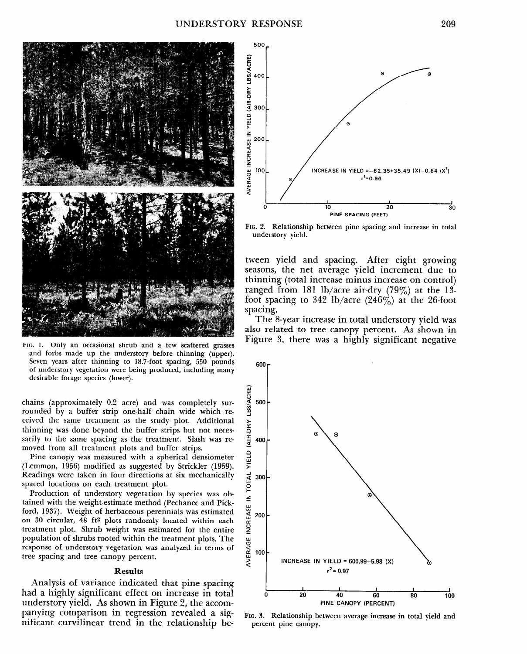

**FIG.** 1. Only an occasional shrub and a few scattered grasses and forbs made up the understory before thinning (upper). Seven years after thinning to 18.7-foot spacing, 550 pounds of understory vegetation were being produced, including many desirable forage species (lower).

chains (approximately 0.2 acre) and was completely surrounded by a buffer strip one-half chain wide which received the same treatment as the study plot. Additional thinning was done beyond the buffer strips but not necessarily to the same spacing as the treatment. Slash was removed from all treatment plots and buffer strips.

Pine canopy was measured with a spherical densiometer (Lemmon, 1956) modified as suggested by Strickler (1959). Readings were taken in four directions at six mechanically spaced locations on each treatment plot.

Production of understory vegetation by species was obtained with the weight-estimate method (Pechanec and Pickford, 1937). Weight of herbaceous perennials was estimated  $\sim$  30 cm  $\sim$  40 ft2 plots randomly located within each  $\sim$  40 km s  $t_{\text{ref}}$  is defined for the entire entire entire entirely required measurement was estimated for the entire entirely treatment plot. Shrub weight was estimated for the entire population of shrubs rooted within the treatment plots. The reputation of the associated water the treatment plots. The tree former of and tree can be regulated to we

## **Results**

Analysis of variance indicated that pine space  $\mathbf{r}$ had a highly significant and increased that price spacing had a highly significant effect on increase in total understory yield. As shown in Figure 2, the accompanying comparison in regression revealed a significant curvilinear trend in the relationship be-



FIG. 2. Relationship between pine spacing and increase in total understory yield.

tween yield and spacing. After eight growing seasons, the net average yield increment due to thinning (total increase minus increase on control) ranged from 181 lb/acre air-dry  $(79\%)$  at the 13foot spacing to 342 lb/acre (246%) at the 26-foot spacing.

The S-year increase in total understory yield was also related to tree canopy percent. As shown in Figure 3, there was a highly significant negative



6.3. Relationship b percent pine canopy.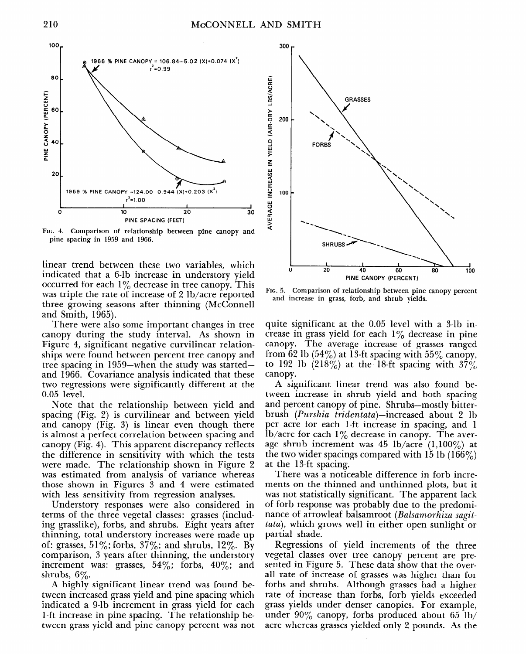

**FIG. 4. Comparison of relationship between pine canopy and pine spacing in 1959 and 1966.** 

linear trend between these two variables, which indicated that a 6-lb increase in understory yield occurred for each  $1\%$  decrease in tree canopy. This was triple the rate of increase of 2 lb/acre reported three growing seasons after thinning (McConnell and Smith, 1965).

There were also some important changes in tree canopy during the study interval. As shown in Figure 4, significant negative curvilinear relationships were found between percent tree canopy and tree spacing in 1959-when the study was startedand 1966. Covariance analysis indicated that these two regressions were significantly different at the 0.05 level.

Note that the relationship between yield and spacing (Fig. 2) is curvilinear and between yield  $\sum_{n=1}^{\infty}$  (Fig. 3) is linear even though there is almost a perfect correlation between spacing and canopy a perfect correlation between spacing and the difference in sensitivity with which the tests the difference in sensitivity with which the tests<br>were made. The relationship shown in Figure 2 were made. The relationship shown in Figure 2 was estimated from analysis of variance whereas those shown in Figures 3 and 4 were estimated with less sensitivity from regression analyses.

Understory responses were also considered in terms of the three vegetal classes: grasses (including grasslike), forbs, and shrubs. Eight years after thinning, total understory increases were made up of: grasses,  $51\%$ ; forbs,  $37\%$ ; and shrubs,  $12\%$ . By comparison, 3 years after thinning, the understory increment was: grasses,  $54\%$ ; forbs,  $40\%$ ; and shrubs,  $6\%$ .  $A = \begin{bmatrix} 1 & 0 \\ 0 & 0 \end{bmatrix}$ 

A mgmy significant iniear trend was found be tween increased grass yield and pine spacing which indicated a 9-lb increment in grass yield for each 1-ft increase in pine spacing. The relationship be-<br>tween grass yield and pine canopy percent was not



**FIG. 5. Comparison of relationship between pine canopy percent and increase in grass, forb, and shrub yields.** 

quite significant at the 0.05 level with a 3-lb increase in grass yield for each  $1\%$  decrease in pine canopy. The average increase of grasses ranged from 62 lb  $(54\%)$  at 13-ft spacing with 55% canopy, to 192 lb (218%) at the 18-ft spacing with 37% canopy.

A significant linear trend was also found between increase in shrub yield and both spacing and percent canopy of pine. Shrubs-mostly bitterbrush *(Purshia* tridentata)-increased about 2 lb  $p(x) = p(x)$  is a contracted in space  $p(x) = p(x)$ per acre for each Tit increase in spacing, and lb/acre for each  $1\%$  decrease in canopy. The average shrub increment was 45 lb/acre (1,100%) at the two wider spacings compared with  $15$  lb ( $166\%$ ) at the 13-ft spacing. the ro-it spacing.<br>There is not in the contract in the second increment in the contract in the second increment in the second in

ment was a nonceable unterched in forty increments on the thinned and unthinned plots, but it was not statistically significant. The apparent lack of forb response was probably due to the predominance of arrowleaf balsamroot (Balsamorhiza sagit*tata*), which grows well in either open sunlight or partial shade. relations of the three three three three three three three three three three three three three three three thr<br>Three three three three three three three three three three three three three three three three three three th

Regressions of yield increments of the three vegetal classes over thee canopy percent are pre sented in Figure 5. These data show that the overall rate of increase of grasses was higher than for forbs and shrubs. Although grasses had a higher rate of increase than forbs, forb yields exceeded grass yields under denser canopies. For example, under  $90\%$  canopy, forbs produced about 65 lb/ acre whereas grasses yielded only 2 pounds. As the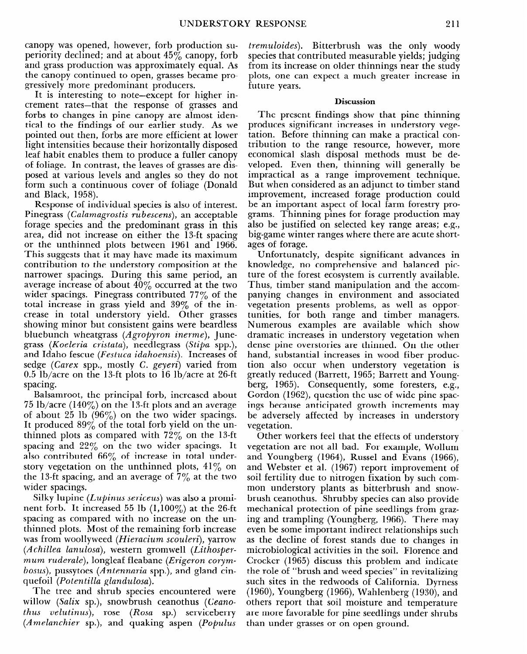canopy was opened, however, forb production superiority declined; and at about  $45\%$  canopy, forb and grass production was approximately equal. As the canopy continued to open, grasses became progressively more predominant producers.

It is interesting to note-except for higher increment rates-that the response of grasses and forbs to changes in pine canopy are almost identical to the findings of our earlier study. As we pointed out then, forbs are more efficient at lower light intensities because their horizontally disposed leaf habit enables them to produce a fuller canopy of foliage. In contrast, the leaves of grasses are disposed at various levels and angles so they do not form such a continuous cover of foliage (Donald and Black, 1958).

Response of individual species is also of interest. Pinegrass *(Calamagrostis rubescens),* an acceptable forage species and the predominant grass in this area, did not increase on either the 13-ft spacing or the unthinned plots between 1961 and 1966. This suggests that it may have made its maximum contribution to the understory composition at the narrower spacings. During this same period, an average increase of about  $40\%$  occurred at the two wider spacings. Pinegrass contributed 77% of the total increase in grass yield and  $39\%$  of the increase in total understory yield. Other grasses showing minor but consistent gains were beardless bluebunch wheatgrass (Agropyron *inerme),* Junegrass *(Koeleria cristata),* needlegrass *(Stipa* spp.), and Idaho fescue *(Festuca idahoensis).* Increases of sedge *(Carex* spp., mostly C. *geyeri)* varied from 0.5 lb/acre on the 13-ft plots to 16 lb/acre at 26-ft spacing.

Balsamroot, the principal forb, increased about 75 lb/acre (140%) on the 13-ft plots and an average of about 25 lb  $(96\%)$  on the two wider spacings. It produced  $89\%$  of the total forb yield on the unthinned plots as compared with  $72\%$  on the 13-ft spacing and  $22\%$  on the two wider spacings. It also contributed  $66\%$  of increase in total understory vegetation on the unthinned plots,  $41\%$  on the 13-ft spacing, and an average of  $7\%$  at the two wider spacings.

Silky lupine *(Lupinus sericeus)* was also a promi- $\frac{1}{2}$  in the  $\frac{1}{2}$  left increased  $\frac{1}{2}$   $\frac{1}{2}$  (1,1000) at the 26-ft space  $\frac{1}{2}$  as compared with no increase on the unspacing as compared with no increase on the unthinned plots. Most of the remaining forb increase was from woollyweed *(Hieracium scouleri)*, yarrow *(Achillea lanulosa),* western gromwell *(Lithospermum ruderale*), longleaf fleabane (*Erigeron corymbosus*), pussytoes (Antennaria spp.), and gland cinquefoil (Potentilla glandulosa).  $T_{\text{tot}}$  tree and shrub species encountered were  $T_{\text{tot}}$ 

*I* in *(Celix species chromitered well) willow (Salix sp.), snowbrush ceanothus (Ceanothus velutinus*), rose *(Rosa sp.)* serviceberry *(Amelanchier sp.)*, and quaking aspen *(Populus*  *tremuloides).* Bitterbrush was the only woody species that contributed measurable yields; judging from its increase on older thinnings near the study plots, one can expect a much greater increase in future years.

#### **Discussion**

The present findings show that pine thinning produces significant increases in understory vegetation. Before thinning can make a practical contribution to the range resource, however, more economical slash disposal methods must be developed. Even then, thinning will generally be impractical as a range improvement technique. But when considered as an adjunct to timber stand improvement, increased forage production could be an important aspect of local farm forestry programs. Thinning pines for forage production may also be justified on selected key range areas; e.g., big-game winter ranges where there are acute shortages of forage.

Unfortunately, despite significant advances in knowledge, no comprehensive and balanced picture of the forest ecosystem is currently available. Thus, timber stand manipulation and the accompanying changes in environment and associated vegetation presents problems, as well as opportunities, for both range and timber managers. Numerous examples are available which show dramatic increases in understory vegetation when dense pine overstories are thinned. On the other hand, substantial increases in wood fiber production also occur when understory vegetation is greatly reduced (Barrett, 1965; Barrett and Youngberg, 1965). Consequently, some foresters, e.g., Gordon (1962), question the use of wide pine spacings because anticipated growth increments may be adversely affected by increases in understory vegetation.

Other workers feel that the effects of understory vertetion are not all had. For example, Well and Youngberg (1964), Russel and Evans (1966), and Youngberg  $(1001)$ , Russel and Evans  $(1000)$ , soil fertility due to nitrogen fixation by such comsoil fertility due to nitrogen fixation by such com-<br>mon understory plants as bitterbrush and snowbrush characteristic provides contractivities can also show protection computers for pine seedles from a seedless from grazmechanical protection of pine seedlings from grazing and trampling (Youngberg, 1966). There may even be some important indirect relationships such as the decline of forest stands due to changes in microbiological activities in the soil. Florence and Crocker (1965) discuss this problem and indicate the role of "brush and weed species" in revitalizing such sites in the redwoods of California. Dyrness  $(1960)$ , Youngberg  $(1966)$ , Wahlenberg  $(1930)$ , and others report that soil moisture and temperature are more favorable for pine seedlings under shrubs<br>than under grasses or on open ground.